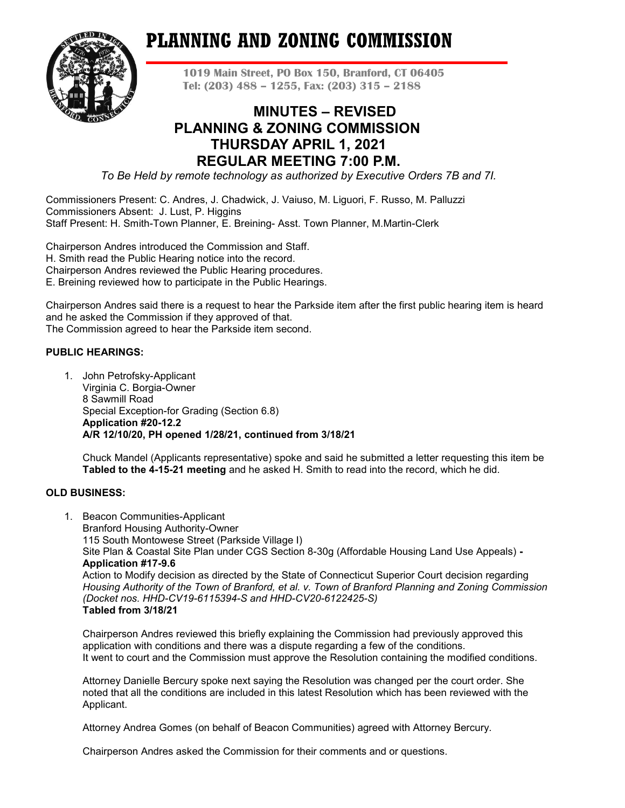# **PLANNING AND ZONING COMMISSION**



**1019 Main Street, PO Box 150, Branford, CT 06405 Tel: (203) 488 – 1255, Fax: (203) 315 – 2188**

# **MINUTES – REVISED PLANNING & ZONING COMMISSION THURSDAY APRIL 1, 2021 REGULAR MEETING 7:00 P.M.**

*To Be Held by remote technology as authorized by Executive Orders 7B and 7I.*

Commissioners Present: C. Andres, J. Chadwick, J. Vaiuso, M. Liguori, F. Russo, M. Palluzzi Commissioners Absent: J. Lust, P. Higgins Staff Present: H. Smith-Town Planner, E. Breining- Asst. Town Planner, M.Martin-Clerk

Chairperson Andres introduced the Commission and Staff. H. Smith read the Public Hearing notice into the record. Chairperson Andres reviewed the Public Hearing procedures. E. Breining reviewed how to participate in the Public Hearings.

Chairperson Andres said there is a request to hear the Parkside item after the first public hearing item is heard and he asked the Commission if they approved of that. The Commission agreed to hear the Parkside item second.

# **PUBLIC HEARINGS:**

1. John Petrofsky-Applicant Virginia C. Borgia-Owner 8 Sawmill Road Special Exception-for Grading (Section 6.8) **Application #20-12.2 A/R 12/10/20, PH opened 1/28/21, continued from 3/18/21**

Chuck Mandel (Applicants representative) spoke and said he submitted a letter requesting this item be **Tabled to the 4-15-21 meeting** and he asked H. Smith to read into the record, which he did.

# **OLD BUSINESS:**

1. Beacon Communities-Applicant Branford Housing Authority-Owner 115 South Montowese Street (Parkside Village I) Site Plan & Coastal Site Plan under CGS Section 8-30g (Affordable Housing Land Use Appeals) **- Application #17-9.6** Action to Modify decision as directed by the State of Connecticut Superior Court decision regarding *Housing Authority of the Town of Branford, et al. v. Town of Branford Planning and Zoning Commission (Docket nos. HHD-CV19-6115394-S and HHD-CV20-6122425-S)* **Tabled from 3/18/21**

Chairperson Andres reviewed this briefly explaining the Commission had previously approved this application with conditions and there was a dispute regarding a few of the conditions. It went to court and the Commission must approve the Resolution containing the modified conditions.

Attorney Danielle Bercury spoke next saying the Resolution was changed per the court order. She noted that all the conditions are included in this latest Resolution which has been reviewed with the Applicant.

Attorney Andrea Gomes (on behalf of Beacon Communities) agreed with Attorney Bercury.

Chairperson Andres asked the Commission for their comments and or questions.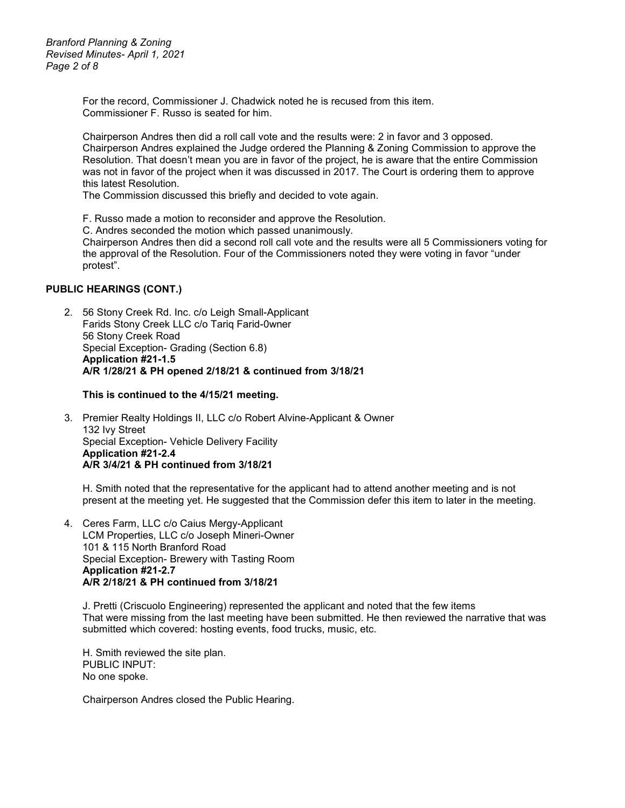*Branford Planning & Zoning Revised Minutes- April 1, 2021 Page 2 of 8*

> For the record, Commissioner J. Chadwick noted he is recused from this item. Commissioner F. Russo is seated for him.

Chairperson Andres then did a roll call vote and the results were: 2 in favor and 3 opposed. Chairperson Andres explained the Judge ordered the Planning & Zoning Commission to approve the Resolution. That doesn't mean you are in favor of the project, he is aware that the entire Commission was not in favor of the project when it was discussed in 2017. The Court is ordering them to approve this latest Resolution.

The Commission discussed this briefly and decided to vote again.

F. Russo made a motion to reconsider and approve the Resolution.

C. Andres seconded the motion which passed unanimously.

Chairperson Andres then did a second roll call vote and the results were all 5 Commissioners voting for the approval of the Resolution. Four of the Commissioners noted they were voting in favor "under protest".

## **PUBLIC HEARINGS (CONT.)**

2. 56 Stony Creek Rd. Inc. c/o Leigh Small-Applicant Farids Stony Creek LLC c/o Tariq Farid-0wner 56 Stony Creek Road Special Exception- Grading (Section 6.8) **Application #21-1.5 A/R 1/28/21 & PH opened 2/18/21 & continued from 3/18/21**

#### **This is continued to the 4/15/21 meeting.**

3. Premier Realty Holdings II, LLC c/o Robert Alvine-Applicant & Owner 132 Ivy Street Special Exception- Vehicle Delivery Facility **Application #21-2.4 A/R 3/4/21 & PH continued from 3/18/21**

H. Smith noted that the representative for the applicant had to attend another meeting and is not present at the meeting yet. He suggested that the Commission defer this item to later in the meeting.

4. Ceres Farm, LLC c/o Caius Mergy-Applicant LCM Properties, LLC c/o Joseph Mineri-Owner 101 & 115 North Branford Road Special Exception- Brewery with Tasting Room **Application #21-2.7 A/R 2/18/21 & PH continued from 3/18/21**

J. Pretti (Criscuolo Engineering) represented the applicant and noted that the few items That were missing from the last meeting have been submitted. He then reviewed the narrative that was submitted which covered: hosting events, food trucks, music, etc.

H. Smith reviewed the site plan. PUBLIC INPUT: No one spoke.

Chairperson Andres closed the Public Hearing.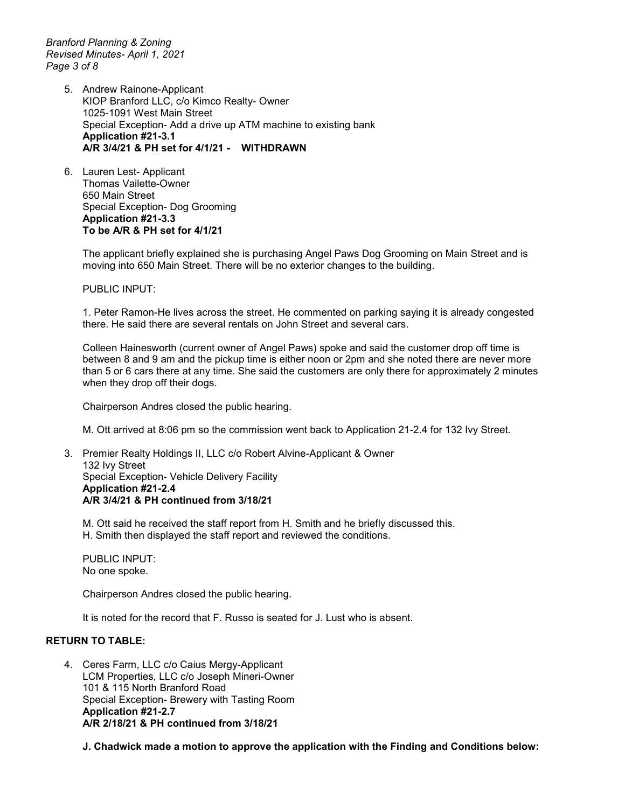*Branford Planning & Zoning Revised Minutes- April 1, 2021 Page 3 of 8*

- 5. Andrew Rainone-Applicant KIOP Branford LLC, c/o Kimco Realty- Owner 1025-1091 West Main Street Special Exception- Add a drive up ATM machine to existing bank **Application #21-3.1 A/R 3/4/21 & PH set for 4/1/21 - WITHDRAWN**
- 6. Lauren Lest- Applicant Thomas Vailette-Owner 650 Main Street Special Exception- Dog Grooming **Application #21-3.3 To be A/R & PH set for 4/1/21**

The applicant briefly explained she is purchasing Angel Paws Dog Grooming on Main Street and is moving into 650 Main Street. There will be no exterior changes to the building.

PUBLIC INPUT:

1. Peter Ramon-He lives across the street. He commented on parking saying it is already congested there. He said there are several rentals on John Street and several cars.

Colleen Hainesworth (current owner of Angel Paws) spoke and said the customer drop off time is between 8 and 9 am and the pickup time is either noon or 2pm and she noted there are never more than 5 or 6 cars there at any time. She said the customers are only there for approximately 2 minutes when they drop off their dogs.

Chairperson Andres closed the public hearing.

M. Ott arrived at 8:06 pm so the commission went back to Application 21-2.4 for 132 Ivy Street.

3. Premier Realty Holdings II, LLC c/o Robert Alvine-Applicant & Owner 132 Ivy Street Special Exception- Vehicle Delivery Facility **Application #21-2.4 A/R 3/4/21 & PH continued from 3/18/21** 

M. Ott said he received the staff report from H. Smith and he briefly discussed this. H. Smith then displayed the staff report and reviewed the conditions.

PUBLIC INPUT: No one spoke.

Chairperson Andres closed the public hearing.

It is noted for the record that F. Russo is seated for J. Lust who is absent.

# **RETURN TO TABLE:**

4. Ceres Farm, LLC c/o Caius Mergy-Applicant LCM Properties, LLC c/o Joseph Mineri-Owner 101 & 115 North Branford Road Special Exception- Brewery with Tasting Room **Application #21-2.7 A/R 2/18/21 & PH continued from 3/18/21**

**J. Chadwick made a motion to approve the application with the Finding and Conditions below:**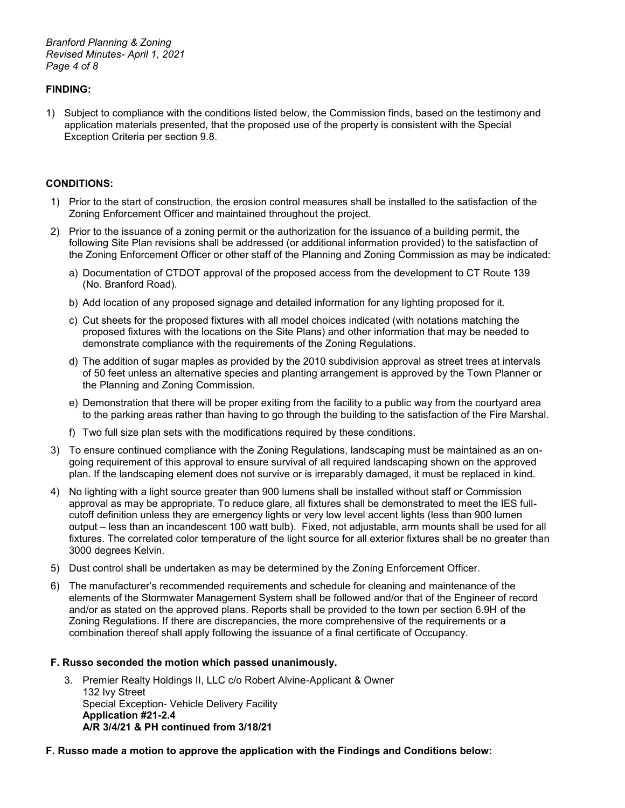*Branford Planning & Zoning Revised Minutes- April 1, 2021 Page 4 of 8*

# **FINDING:**

1) Subject to compliance with the conditions listed below, the Commission finds, based on the testimony and application materials presented, that the proposed use of the property is consistent with the Special Exception Criteria per section 9.8.

# **CONDITIONS:**

- 1) Prior to the start of construction, the erosion control measures shall be installed to the satisfaction of the Zoning Enforcement Officer and maintained throughout the project.
- 2) Prior to the issuance of a zoning permit or the authorization for the issuance of a building permit, the following Site Plan revisions shall be addressed (or additional information provided) to the satisfaction of the Zoning Enforcement Officer or other staff of the Planning and Zoning Commission as may be indicated:
	- a) Documentation of CTDOT approval of the proposed access from the development to CT Route 139 (No. Branford Road).
	- b) Add location of any proposed signage and detailed information for any lighting proposed for it.
	- c) Cut sheets for the proposed fixtures with all model choices indicated (with notations matching the proposed fixtures with the locations on the Site Plans) and other information that may be needed to demonstrate compliance with the requirements of the Zoning Regulations.
	- d) The addition of sugar maples as provided by the 2010 subdivision approval as street trees at intervals of 50 feet unless an alternative species and planting arrangement is approved by the Town Planner or the Planning and Zoning Commission.
	- e) Demonstration that there will be proper exiting from the facility to a public way from the courtyard area to the parking areas rather than having to go through the building to the satisfaction of the Fire Marshal.
	- f) Two full size plan sets with the modifications required by these conditions.
- 3) To ensure continued compliance with the Zoning Regulations, landscaping must be maintained as an ongoing requirement of this approval to ensure survival of all required landscaping shown on the approved plan. If the landscaping element does not survive or is irreparably damaged, it must be replaced in kind.
- 4) No lighting with a light source greater than 900 lumens shall be installed without staff or Commission approval as may be appropriate. To reduce glare, all fixtures shall be demonstrated to meet the IES fullcutoff definition unless they are emergency lights or very low level accent lights (less than 900 lumen output – less than an incandescent 100 watt bulb). Fixed, not adjustable, arm mounts shall be used for all fixtures. The correlated color temperature of the light source for all exterior fixtures shall be no greater than 3000 degrees Kelvin.
- 5) Dust control shall be undertaken as may be determined by the Zoning Enforcement Officer.
- 6) The manufacturer's recommended requirements and schedule for cleaning and maintenance of the elements of the Stormwater Management System shall be followed and/or that of the Engineer of record and/or as stated on the approved plans. Reports shall be provided to the town per section 6.9H of the Zoning Regulations. If there are discrepancies, the more comprehensive of the requirements or a combination thereof shall apply following the issuance of a final certificate of Occupancy.

## **F. Russo seconded the motion which passed unanimously.**

3. Premier Realty Holdings II, LLC c/o Robert Alvine-Applicant & Owner 132 Ivy Street Special Exception- Vehicle Delivery Facility **Application #21-2.4 A/R 3/4/21 & PH continued from 3/18/21** 

## **F. Russo made a motion to approve the application with the Findings and Conditions below:**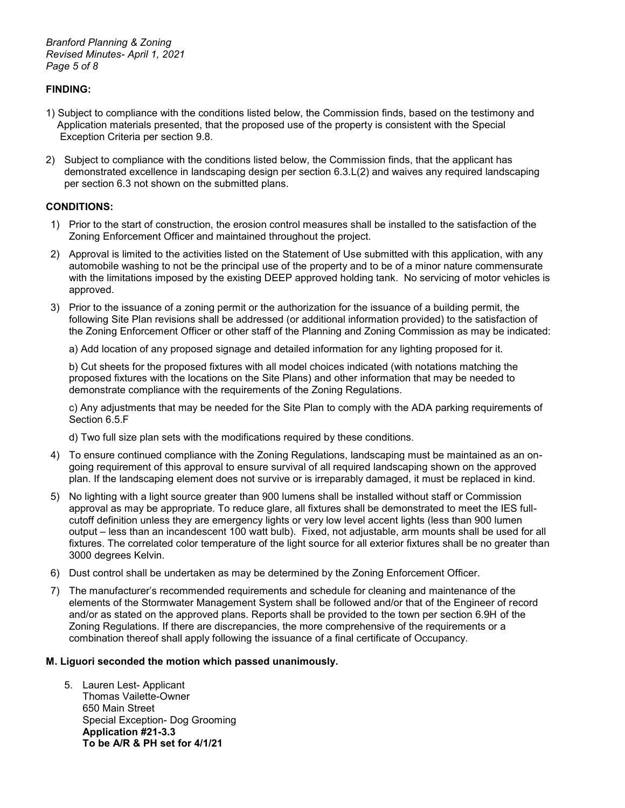# **FINDING:**

- 1) Subject to compliance with the conditions listed below, the Commission finds, based on the testimony and Application materials presented, that the proposed use of the property is consistent with the Special Exception Criteria per section 9.8.
- 2) Subject to compliance with the conditions listed below, the Commission finds, that the applicant has demonstrated excellence in landscaping design per section 6.3.L(2) and waives any required landscaping per section 6.3 not shown on the submitted plans.

# **CONDITIONS:**

- 1) Prior to the start of construction, the erosion control measures shall be installed to the satisfaction of the Zoning Enforcement Officer and maintained throughout the project.
- 2) Approval is limited to the activities listed on the Statement of Use submitted with this application, with any automobile washing to not be the principal use of the property and to be of a minor nature commensurate with the limitations imposed by the existing DEEP approved holding tank. No servicing of motor vehicles is approved.
- 3) Prior to the issuance of a zoning permit or the authorization for the issuance of a building permit, the following Site Plan revisions shall be addressed (or additional information provided) to the satisfaction of the Zoning Enforcement Officer or other staff of the Planning and Zoning Commission as may be indicated:

a) Add location of any proposed signage and detailed information for any lighting proposed for it.

b) Cut sheets for the proposed fixtures with all model choices indicated (with notations matching the proposed fixtures with the locations on the Site Plans) and other information that may be needed to demonstrate compliance with the requirements of the Zoning Regulations.

c) Any adjustments that may be needed for the Site Plan to comply with the ADA parking requirements of Section 6.5.F

d) Two full size plan sets with the modifications required by these conditions.

- 4) To ensure continued compliance with the Zoning Regulations, landscaping must be maintained as an ongoing requirement of this approval to ensure survival of all required landscaping shown on the approved plan. If the landscaping element does not survive or is irreparably damaged, it must be replaced in kind.
- 5) No lighting with a light source greater than 900 lumens shall be installed without staff or Commission approval as may be appropriate. To reduce glare, all fixtures shall be demonstrated to meet the IES fullcutoff definition unless they are emergency lights or very low level accent lights (less than 900 lumen output – less than an incandescent 100 watt bulb). Fixed, not adjustable, arm mounts shall be used for all fixtures. The correlated color temperature of the light source for all exterior fixtures shall be no greater than 3000 degrees Kelvin.
- 6) Dust control shall be undertaken as may be determined by the Zoning Enforcement Officer.
- 7) The manufacturer's recommended requirements and schedule for cleaning and maintenance of the elements of the Stormwater Management System shall be followed and/or that of the Engineer of record and/or as stated on the approved plans. Reports shall be provided to the town per section 6.9H of the Zoning Regulations. If there are discrepancies, the more comprehensive of the requirements or a combination thereof shall apply following the issuance of a final certificate of Occupancy.

## **M. Liguori seconded the motion which passed unanimously.**

5. Lauren Lest- Applicant Thomas Vailette-Owner 650 Main Street Special Exception- Dog Grooming **Application #21-3.3 To be A/R & PH set for 4/1/21**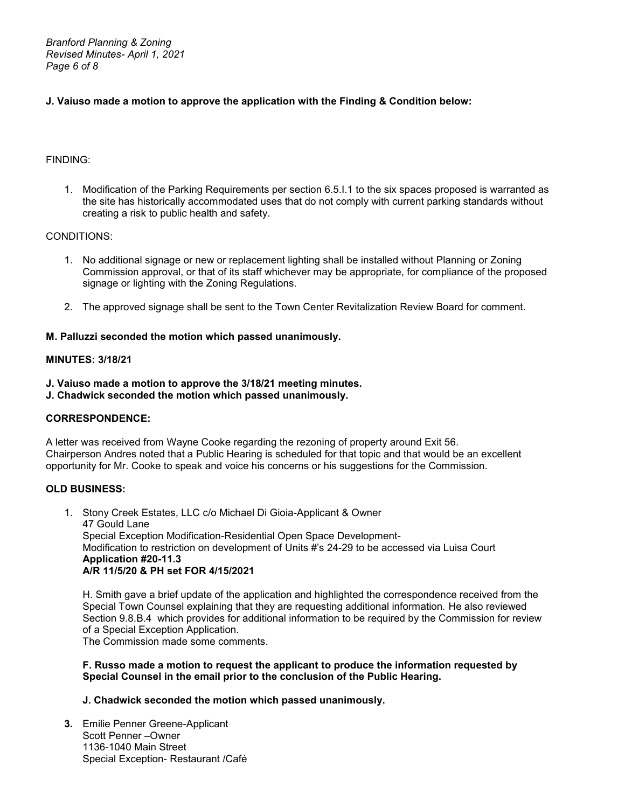*Branford Planning & Zoning Revised Minutes- April 1, 2021 Page 6 of 8*

# **J. Vaiuso made a motion to approve the application with the Finding & Condition below:**

# FINDING:

1. Modification of the Parking Requirements per section 6.5.I.1 to the six spaces proposed is warranted as the site has historically accommodated uses that do not comply with current parking standards without creating a risk to public health and safety.

## CONDITIONS:

- 1. No additional signage or new or replacement lighting shall be installed without Planning or Zoning Commission approval, or that of its staff whichever may be appropriate, for compliance of the proposed signage or lighting with the Zoning Regulations.
- 2. The approved signage shall be sent to the Town Center Revitalization Review Board for comment.

# **M. Palluzzi seconded the motion which passed unanimously.**

# **MINUTES: 3/18/21**

- **J. Vaiuso made a motion to approve the 3/18/21 meeting minutes.**
- **J. Chadwick seconded the motion which passed unanimously.**

# **CORRESPONDENCE:**

A letter was received from Wayne Cooke regarding the rezoning of property around Exit 56. Chairperson Andres noted that a Public Hearing is scheduled for that topic and that would be an excellent opportunity for Mr. Cooke to speak and voice his concerns or his suggestions for the Commission.

# **OLD BUSINESS:**

1. Stony Creek Estates, LLC c/o Michael Di Gioia-Applicant & Owner 47 Gould Lane Special Exception Modification-Residential Open Space Development-Modification to restriction on development of Units #'s 24-29 to be accessed via Luisa Court **Application #20-11.3 A/R 11/5/20 & PH set FOR 4/15/2021**

H. Smith gave a brief update of the application and highlighted the correspondence received from the Special Town Counsel explaining that they are requesting additional information. He also reviewed Section 9.8.B.4 which provides for additional information to be required by the Commission for review of a Special Exception Application.

The Commission made some comments.

## **F. Russo made a motion to request the applicant to produce the information requested by Special Counsel in the email prior to the conclusion of the Public Hearing.**

## **J. Chadwick seconded the motion which passed unanimously.**

**3.** Emilie Penner Greene-Applicant Scott Penner –Owner 1136-1040 Main Street Special Exception- Restaurant /Café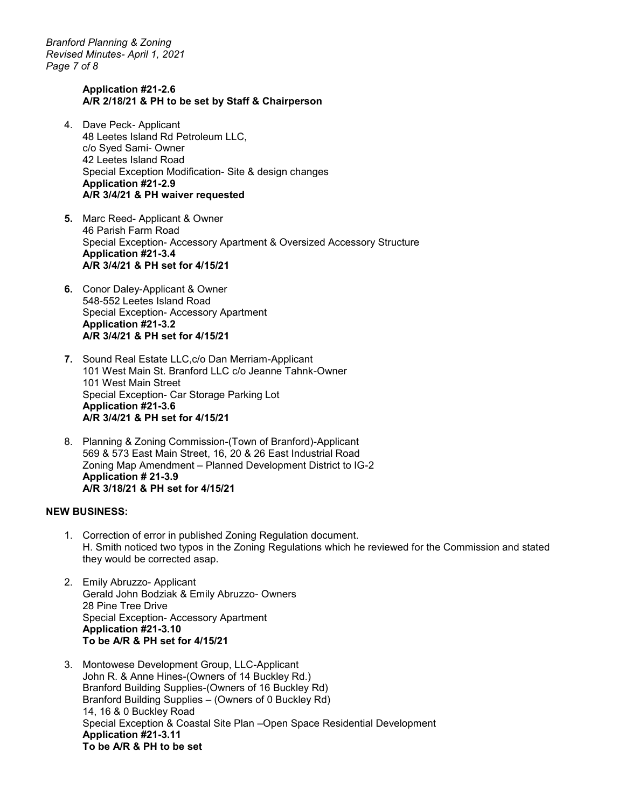*Branford Planning & Zoning Revised Minutes- April 1, 2021 Page 7 of 8*

#### **Application #21-2.6 A/R 2/18/21 & PH to be set by Staff & Chairperson**

- 4. Dave Peck- Applicant 48 Leetes Island Rd Petroleum LLC, c/o Syed Sami- Owner 42 Leetes Island Road Special Exception Modification- Site & design changes **Application #21-2.9 A/R 3/4/21 & PH waiver requested**
- **5.** Marc Reed- Applicant & Owner 46 Parish Farm Road Special Exception- Accessory Apartment & Oversized Accessory Structure **Application #21-3.4 A/R 3/4/21 & PH set for 4/15/21**
- **6.** Conor Daley-Applicant & Owner 548-552 Leetes Island Road Special Exception- Accessory Apartment **Application #21-3.2 A/R 3/4/21 & PH set for 4/15/21**
- **7.** Sound Real Estate LLC,c/o Dan Merriam-Applicant 101 West Main St. Branford LLC c/o Jeanne Tahnk-Owner 101 West Main Street Special Exception- Car Storage Parking Lot **Application #21-3.6 A/R 3/4/21 & PH set for 4/15/21**
- 8. Planning & Zoning Commission-(Town of Branford)-Applicant 569 & 573 East Main Street, 16, 20 & 26 East Industrial Road Zoning Map Amendment – Planned Development District to IG-2 **Application # 21-3.9 A/R 3/18/21 & PH set for 4/15/21**

## **NEW BUSINESS:**

- 1. Correction of error in published Zoning Regulation document. H. Smith noticed two typos in the Zoning Regulations which he reviewed for the Commission and stated they would be corrected asap.
- 2. Emily Abruzzo- Applicant Gerald John Bodziak & Emily Abruzzo- Owners 28 Pine Tree Drive Special Exception- Accessory Apartment **Application #21-3.10 To be A/R & PH set for 4/15/21**
- 3. Montowese Development Group, LLC-Applicant John R. & Anne Hines-(Owners of 14 Buckley Rd.) Branford Building Supplies-(Owners of 16 Buckley Rd) Branford Building Supplies – (Owners of 0 Buckley Rd) 14, 16 & 0 Buckley Road Special Exception & Coastal Site Plan –Open Space Residential Development **Application #21-3.11 To be A/R & PH to be set**